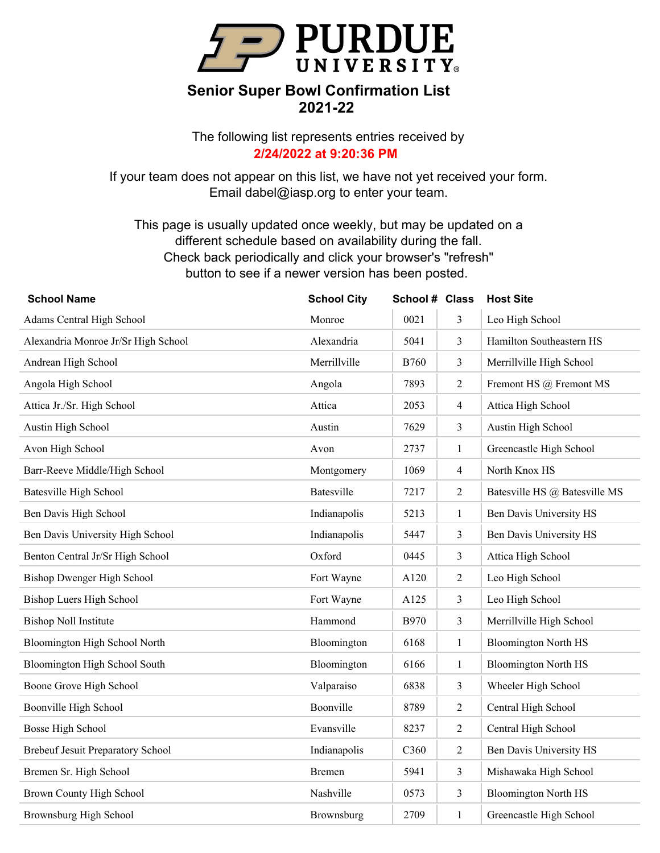

The following list represents entries received by **2/24/2022 at 9:20:36 PM**

If your team does not appear on this list, we have not yet received your form. Email dabel@iasp.org to enter your team.

| <b>School Name</b>                       | <b>School City</b> | School # Class |                | <b>Host Site</b>              |
|------------------------------------------|--------------------|----------------|----------------|-------------------------------|
| Adams Central High School                | Monroe             | 0021           | 3              | Leo High School               |
| Alexandria Monroe Jr/Sr High School      | Alexandria         | 5041           | $\overline{3}$ | Hamilton Southeastern HS      |
| Andrean High School                      | Merrillville       | <b>B760</b>    | 3              | Merrillville High School      |
| Angola High School                       | Angola             | 7893           | $\overline{2}$ | Fremont HS @ Fremont MS       |
| Attica Jr./Sr. High School               | Attica             | 2053           | $\overline{4}$ | Attica High School            |
| Austin High School                       | Austin             | 7629           | 3              | Austin High School            |
| Avon High School                         | Avon               | 2737           | $\mathbf{1}$   | Greencastle High School       |
| Barr-Reeve Middle/High School            | Montgomery         | 1069           | $\overline{4}$ | North Knox HS                 |
| <b>Batesville High School</b>            | Batesville         | 7217           | $\overline{2}$ | Batesville HS @ Batesville MS |
| Ben Davis High School                    | Indianapolis       | 5213           | $\mathbf{1}$   | Ben Davis University HS       |
| Ben Davis University High School         | Indianapolis       | 5447           | 3              | Ben Davis University HS       |
| Benton Central Jr/Sr High School         | Oxford             | 0445           | 3              | Attica High School            |
| Bishop Dwenger High School               | Fort Wayne         | A120           | $\sqrt{2}$     | Leo High School               |
| Bishop Luers High School                 | Fort Wayne         | A125           | 3              | Leo High School               |
| <b>Bishop Noll Institute</b>             | Hammond            | <b>B970</b>    | 3              | Merrillville High School      |
| Bloomington High School North            | Bloomington        | 6168           | $\mathbf{1}$   | <b>Bloomington North HS</b>   |
| Bloomington High School South            | Bloomington        | 6166           | $\mathbf{1}$   | <b>Bloomington North HS</b>   |
| Boone Grove High School                  | Valparaiso         | 6838           | 3              | Wheeler High School           |
| Boonville High School                    | Boonville          | 8789           | $\overline{2}$ | Central High School           |
| <b>Bosse High School</b>                 | Evansville         | 8237           | $\overline{2}$ | Central High School           |
| <b>Brebeuf Jesuit Preparatory School</b> | Indianapolis       | C360           | $\overline{2}$ | Ben Davis University HS       |
| Bremen Sr. High School                   | Bremen             | 5941           | 3              | Mishawaka High School         |
| Brown County High School                 | Nashville          | 0573           | 3              | <b>Bloomington North HS</b>   |
| Brownsburg High School                   | Brownsburg         | 2709           | $\mathbf{1}$   | Greencastle High School       |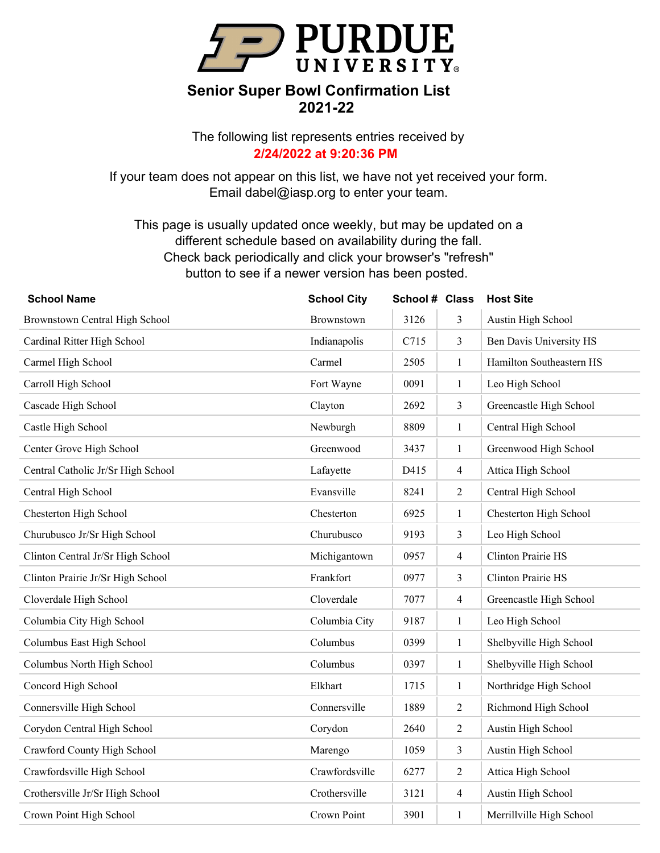

The following list represents entries received by **2/24/2022 at 9:20:36 PM**

If your team does not appear on this list, we have not yet received your form. Email dabel@iasp.org to enter your team.

| <b>School Name</b>                 | <b>School City</b> | School # Class |                | <b>Host Site</b>          |
|------------------------------------|--------------------|----------------|----------------|---------------------------|
| Brownstown Central High School     | Brownstown         | 3126           | 3              | Austin High School        |
| Cardinal Ritter High School        | Indianapolis       | C715           | $\overline{3}$ | Ben Davis University HS   |
| Carmel High School                 | Carmel             | 2505           | $\mathbf{1}$   | Hamilton Southeastern HS  |
| Carroll High School                | Fort Wayne         | 0091           | $\mathbf{1}$   | Leo High School           |
| Cascade High School                | Clayton            | 2692           | 3              | Greencastle High School   |
| Castle High School                 | Newburgh           | 8809           | 1              | Central High School       |
| Center Grove High School           | Greenwood          | 3437           | $\mathbf{1}$   | Greenwood High School     |
| Central Catholic Jr/Sr High School | Lafayette          | D415           | $\overline{4}$ | Attica High School        |
| Central High School                | Evansville         | 8241           | $\overline{2}$ | Central High School       |
| Chesterton High School             | Chesterton         | 6925           | $\mathbf{1}$   | Chesterton High School    |
| Churubusco Jr/Sr High School       | Churubusco         | 9193           | 3              | Leo High School           |
| Clinton Central Jr/Sr High School  | Michigantown       | 0957           | $\overline{4}$ | <b>Clinton Prairie HS</b> |
| Clinton Prairie Jr/Sr High School  | Frankfort          | 0977           | 3              | <b>Clinton Prairie HS</b> |
| Cloverdale High School             | Cloverdale         | 7077           | $\overline{4}$ | Greencastle High School   |
| Columbia City High School          | Columbia City      | 9187           | $\mathbf{1}$   | Leo High School           |
| Columbus East High School          | Columbus           | 0399           | $\mathbf{1}$   | Shelbyville High School   |
| Columbus North High School         | Columbus           | 0397           | $\mathbf{1}$   | Shelbyville High School   |
| Concord High School                | Elkhart            | 1715           | $\mathbf{1}$   | Northridge High School    |
| Connersville High School           | Connersville       | 1889           | $\overline{2}$ | Richmond High School      |
| Corydon Central High School        | Corydon            | 2640           | $\overline{2}$ | Austin High School        |
| Crawford County High School        | Marengo            | 1059           | $\overline{3}$ | Austin High School        |
| Crawfordsville High School         | Crawfordsville     | 6277           | $\overline{2}$ | Attica High School        |
| Crothersville Jr/Sr High School    | Crothersville      | 3121           | $\overline{4}$ | Austin High School        |
| Crown Point High School            | Crown Point        | 3901           | $\mathbf{1}$   | Merrillville High School  |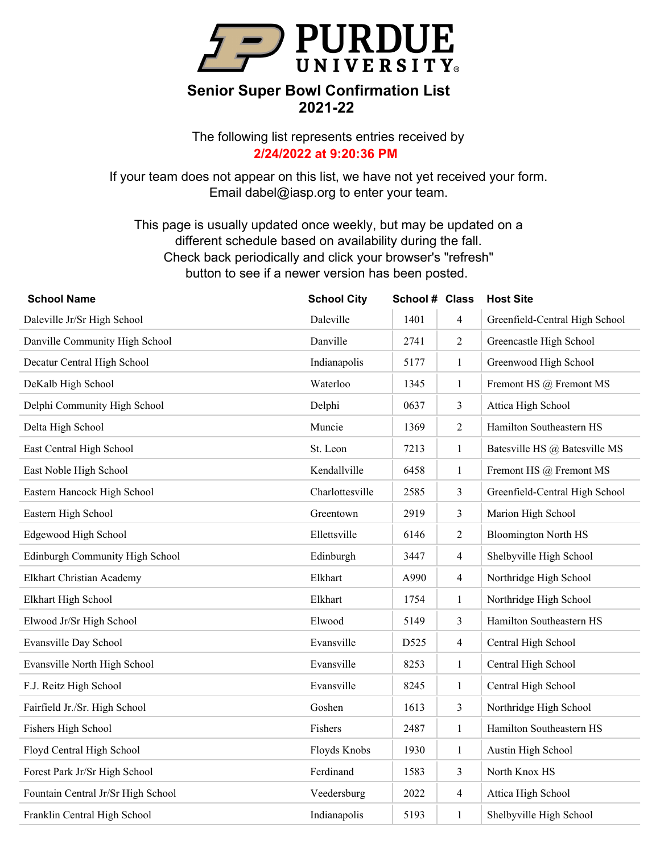

The following list represents entries received by **2/24/2022 at 9:20:36 PM**

If your team does not appear on this list, we have not yet received your form. Email dabel@iasp.org to enter your team.

| <b>School Name</b>                 | <b>School City</b> | School # Class |                | <b>Host Site</b>               |
|------------------------------------|--------------------|----------------|----------------|--------------------------------|
| Daleville Jr/Sr High School        | Daleville          | 1401           | $\overline{4}$ | Greenfield-Central High School |
| Danville Community High School     | Danville           | 2741           | $\overline{2}$ | Greencastle High School        |
| Decatur Central High School        | Indianapolis       | 5177           | $\mathbf{1}$   | Greenwood High School          |
| DeKalb High School                 | Waterloo           | 1345           | $\mathbf{1}$   | Fremont HS @ Fremont MS        |
| Delphi Community High School       | Delphi             | 0637           | 3              | Attica High School             |
| Delta High School                  | Muncie             | 1369           | $\overline{2}$ | Hamilton Southeastern HS       |
| East Central High School           | St. Leon           | 7213           | $\mathbf{1}$   | Batesville HS @ Batesville MS  |
| East Noble High School             | Kendallville       | 6458           | $\mathbf{1}$   | Fremont HS @ Fremont MS        |
| Eastern Hancock High School        | Charlottesville    | 2585           | 3              | Greenfield-Central High School |
| Eastern High School                | Greentown          | 2919           | 3              | Marion High School             |
| Edgewood High School               | Ellettsville       | 6146           | $\overline{2}$ | <b>Bloomington North HS</b>    |
| Edinburgh Community High School    | Edinburgh          | 3447           | $\overline{4}$ | Shelbyville High School        |
| Elkhart Christian Academy          | Elkhart            | A990           | $\overline{4}$ | Northridge High School         |
| Elkhart High School                | Elkhart            | 1754           | $\mathbf{1}$   | Northridge High School         |
| Elwood Jr/Sr High School           | Elwood             | 5149           | 3              | Hamilton Southeastern HS       |
| Evansville Day School              | Evansville         | D525           | $\overline{4}$ | Central High School            |
| Evansville North High School       | Evansville         | 8253           | $\mathbf{1}$   | Central High School            |
| F.J. Reitz High School             | Evansville         | 8245           | $\mathbf{1}$   | Central High School            |
| Fairfield Jr./Sr. High School      | Goshen             | 1613           | $\mathfrak{Z}$ | Northridge High School         |
| Fishers High School                | Fishers            | 2487           | $\mathbf{1}$   | Hamilton Southeastern HS       |
| Floyd Central High School          | Floyds Knobs       | 1930           | $\mathbf{1}$   | Austin High School             |
| Forest Park Jr/Sr High School      | Ferdinand          | 1583           | $\mathfrak{Z}$ | North Knox HS                  |
| Fountain Central Jr/Sr High School | Veedersburg        | 2022           | $\overline{4}$ | Attica High School             |
| Franklin Central High School       | Indianapolis       | 5193           | $\mathbf{1}$   | Shelbyville High School        |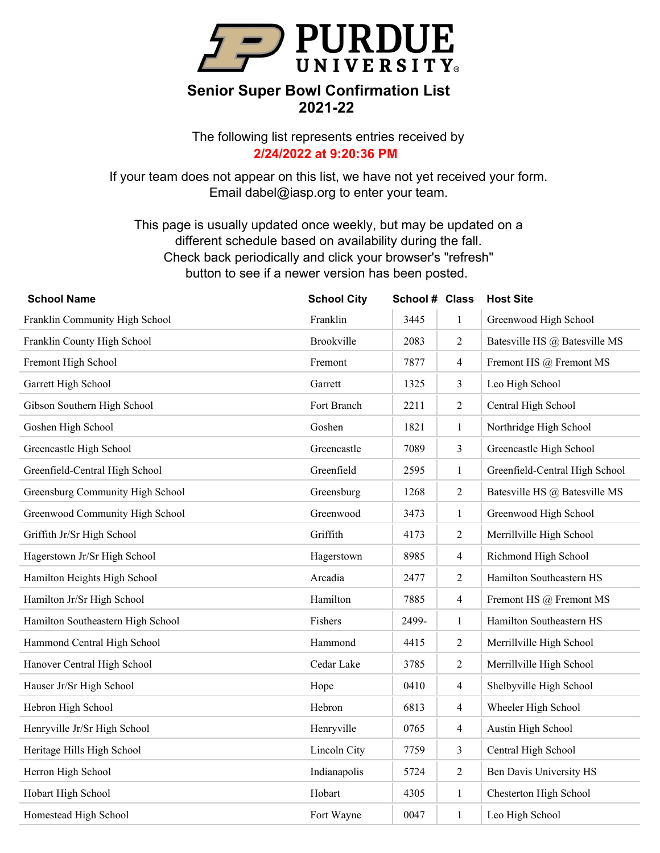

The following list represents entries received by **2/24/2022 at 9:20:36 PM**

If your team does not appear on this list, we have not yet received your form. Email dabel@iasp.org to enter your team.

| <b>School Name</b>                | <b>School City</b> | School # Class |                | <b>Host Site</b>               |
|-----------------------------------|--------------------|----------------|----------------|--------------------------------|
| Franklin Community High School    | Franklin           | 3445           | $\mathbf{1}$   | Greenwood High School          |
| Franklin County High School       | Brookville         | 2083           | $\overline{2}$ | Batesville HS @ Batesville MS  |
| Fremont High School               | Fremont            | 7877           | $\overline{4}$ | Fremont HS @ Fremont MS        |
| Garrett High School               | Garrett            | 1325           | $\mathfrak{Z}$ | Leo High School                |
| Gibson Southern High School       | Fort Branch        | 2211           | $\overline{c}$ | Central High School            |
| Goshen High School                | Goshen             | 1821           | $\mathbf{1}$   | Northridge High School         |
| Greencastle High School           | Greencastle        | 7089           | $\mathfrak{Z}$ | Greencastle High School        |
| Greenfield-Central High School    | Greenfield         | 2595           | $\mathbf{1}$   | Greenfield-Central High School |
| Greensburg Community High School  | Greensburg         | 1268           | $\overline{c}$ | Batesville HS @ Batesville MS  |
| Greenwood Community High School   | Greenwood          | 3473           | $\mathbf{1}$   | Greenwood High School          |
| Griffith Jr/Sr High School        | Griffith           | 4173           | $\overline{c}$ | Merrillville High School       |
| Hagerstown Jr/Sr High School      | Hagerstown         | 8985           | $\overline{4}$ | Richmond High School           |
| Hamilton Heights High School      | Arcadia            | 2477           | $\overline{2}$ | Hamilton Southeastern HS       |
| Hamilton Jr/Sr High School        | Hamilton           | 7885           | $\overline{4}$ | Fremont HS @ Fremont MS        |
| Hamilton Southeastern High School | Fishers            | 2499-          | $\mathbf{1}$   | Hamilton Southeastern HS       |
| Hammond Central High School       | Hammond            | 4415           | $\overline{2}$ | Merrillville High School       |
| Hanover Central High School       | Cedar Lake         | 3785           | $\overline{2}$ | Merrillville High School       |
| Hauser Jr/Sr High School          | Hope               | 0410           | $\overline{4}$ | Shelbyville High School        |
| Hebron High School                | Hebron             | 6813           | $\overline{4}$ | Wheeler High School            |
| Henryville Jr/Sr High School      | Henryville         | 0765           | $\overline{4}$ | Austin High School             |
| Heritage Hills High School        | Lincoln City       | 7759           | $\overline{3}$ | Central High School            |
| Herron High School                | Indianapolis       | 5724           | $\overline{2}$ | Ben Davis University HS        |
| Hobart High School                | Hobart             | 4305           | $\mathbf{1}$   | Chesterton High School         |
| Homestead High School             | Fort Wayne         | 0047           | $\mathbf{1}$   | Leo High School                |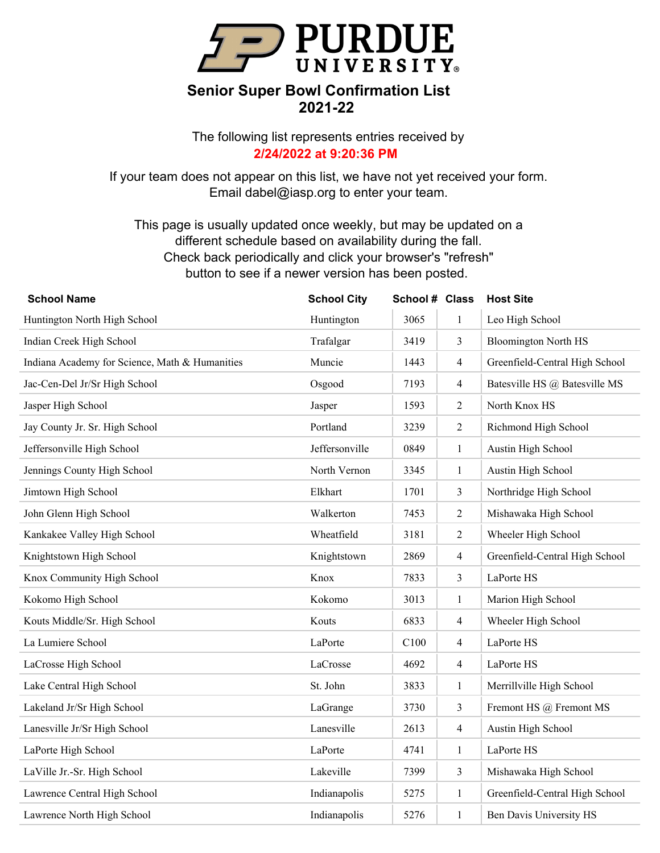

The following list represents entries received by **2/24/2022 at 9:20:36 PM**

If your team does not appear on this list, we have not yet received your form. Email dabel@iasp.org to enter your team.

| <b>School Name</b>                             | <b>School City</b> | School # Class |                | <b>Host Site</b>               |
|------------------------------------------------|--------------------|----------------|----------------|--------------------------------|
| Huntington North High School                   | Huntington         | 3065           | 1              | Leo High School                |
| Indian Creek High School                       | Trafalgar          | 3419           | 3              | <b>Bloomington North HS</b>    |
| Indiana Academy for Science, Math & Humanities | Muncie             | 1443           | $\overline{4}$ | Greenfield-Central High School |
| Jac-Cen-Del Jr/Sr High School                  | Osgood             | 7193           | 4              | Batesville HS @ Batesville MS  |
| Jasper High School                             | Jasper             | 1593           | $\overline{c}$ | North Knox HS                  |
| Jay County Jr. Sr. High School                 | Portland           | 3239           | $\overline{2}$ | Richmond High School           |
| Jeffersonville High School                     | Jeffersonville     | 0849           | $\mathbf{1}$   | Austin High School             |
| Jennings County High School                    | North Vernon       | 3345           | $\mathbf{1}$   | Austin High School             |
| Jimtown High School                            | Elkhart            | 1701           | 3              | Northridge High School         |
| John Glenn High School                         | Walkerton          | 7453           | $\overline{c}$ | Mishawaka High School          |
| Kankakee Valley High School                    | Wheatfield         | 3181           | 2              | Wheeler High School            |
| Knightstown High School                        | Knightstown        | 2869           | 4              | Greenfield-Central High School |
| Knox Community High School                     | Knox               | 7833           | 3              | LaPorte HS                     |
| Kokomo High School                             | Kokomo             | 3013           | $\mathbf{1}$   | Marion High School             |
| Kouts Middle/Sr. High School                   | Kouts              | 6833           | $\overline{4}$ | Wheeler High School            |
| La Lumiere School                              | LaPorte            | C100           | 4              | LaPorte HS                     |
| LaCrosse High School                           | LaCrosse           | 4692           | $\overline{4}$ | LaPorte HS                     |
| Lake Central High School                       | St. John           | 3833           | $\mathbf{1}$   | Merrillville High School       |
| Lakeland Jr/Sr High School                     | LaGrange           | 3730           | 3              | Fremont HS @ Fremont MS        |
| Lanesville Jr/Sr High School                   | Lanesville         | 2613           | $\overline{4}$ | Austin High School             |
| LaPorte High School                            | LaPorte            | 4741           | $\mathbf{1}$   | LaPorte HS                     |
| LaVille Jr.-Sr. High School                    | Lakeville          | 7399           | 3              | Mishawaka High School          |
| Lawrence Central High School                   | Indianapolis       | 5275           | $\mathbf{1}$   | Greenfield-Central High School |
| Lawrence North High School                     | Indianapolis       | 5276           | 1              | Ben Davis University HS        |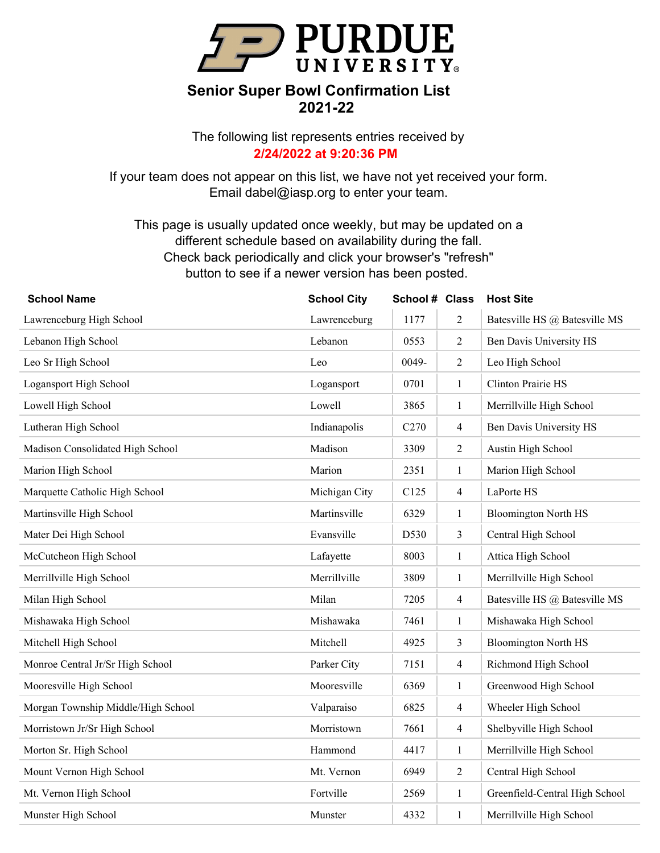

The following list represents entries received by **2/24/2022 at 9:20:36 PM**

If your team does not appear on this list, we have not yet received your form. Email dabel@iasp.org to enter your team.

| <b>School Name</b>                 | <b>School City</b> | School # Class   |                | <b>Host Site</b>               |
|------------------------------------|--------------------|------------------|----------------|--------------------------------|
| Lawrenceburg High School           | Lawrenceburg       | 1177             | $\overline{2}$ | Batesville HS @ Batesville MS  |
| Lebanon High School                | Lebanon            | 0553             | $\overline{2}$ | Ben Davis University HS        |
| Leo Sr High School                 | Leo                | 0049-            | $\overline{2}$ | Leo High School                |
| Logansport High School             | Logansport         | 0701             | $\mathbf{1}$   | Clinton Prairie HS             |
| Lowell High School                 | Lowell             | 3865             | $\mathbf{1}$   | Merrillville High School       |
| Lutheran High School               | Indianapolis       | C <sub>270</sub> | $\overline{4}$ | Ben Davis University HS        |
| Madison Consolidated High School   | Madison            | 3309             | $\overline{2}$ | Austin High School             |
| Marion High School                 | Marion             | 2351             | $\mathbf{1}$   | Marion High School             |
| Marquette Catholic High School     | Michigan City      | C125             | $\overline{4}$ | LaPorte HS                     |
| Martinsville High School           | Martinsville       | 6329             | $\mathbf{1}$   | <b>Bloomington North HS</b>    |
| Mater Dei High School              | Evansville         | D530             | $\mathfrak{Z}$ | Central High School            |
| McCutcheon High School             | Lafayette          | 8003             | $\mathbf{1}$   | Attica High School             |
| Merrillville High School           | Merrillville       | 3809             | $\mathbf{1}$   | Merrillville High School       |
| Milan High School                  | Milan              | 7205             | $\overline{4}$ | Batesville HS @ Batesville MS  |
| Mishawaka High School              | Mishawaka          | 7461             | $\mathbf{1}$   | Mishawaka High School          |
| Mitchell High School               | Mitchell           | 4925             | $\mathfrak{Z}$ | <b>Bloomington North HS</b>    |
| Monroe Central Jr/Sr High School   | Parker City        | 7151             | $\overline{4}$ | Richmond High School           |
| Mooresville High School            | Mooresville        | 6369             | $\mathbf{1}$   | Greenwood High School          |
| Morgan Township Middle/High School | Valparaiso         | 6825             | $\overline{4}$ | Wheeler High School            |
| Morristown Jr/Sr High School       | Morristown         | 7661             | $\overline{4}$ | Shelbyville High School        |
| Morton Sr. High School             | Hammond            | 4417             | $\mathbf{1}$   | Merrillville High School       |
| Mount Vernon High School           | Mt. Vernon         | 6949             | 2              | Central High School            |
| Mt. Vernon High School             | Fortville          | 2569             | $\mathbf{1}$   | Greenfield-Central High School |
| Munster High School                | Munster            | 4332             | $\mathbf{1}$   | Merrillville High School       |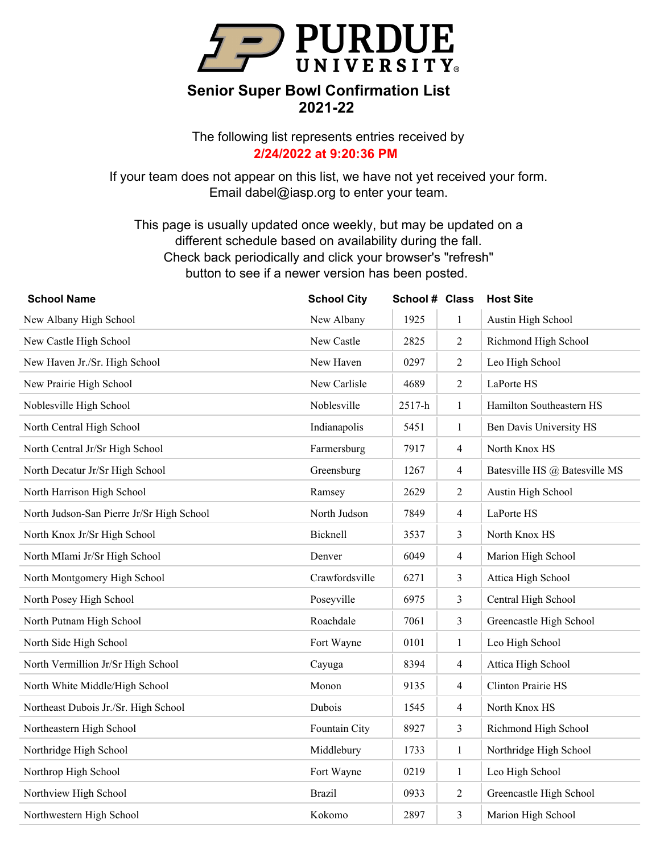

The following list represents entries received by **2/24/2022 at 9:20:36 PM**

If your team does not appear on this list, we have not yet received your form. Email dabel@iasp.org to enter your team.

| <b>School Name</b>                        | <b>School City</b> | School # Class |                | <b>Host Site</b>              |
|-------------------------------------------|--------------------|----------------|----------------|-------------------------------|
| New Albany High School                    | New Albany         | 1925           | 1              | Austin High School            |
| New Castle High School                    | New Castle         | 2825           | $\overline{2}$ | Richmond High School          |
| New Haven Jr./Sr. High School             | New Haven          | 0297           | $\overline{2}$ | Leo High School               |
| New Prairie High School                   | New Carlisle       | 4689           | $\overline{2}$ | LaPorte HS                    |
| Noblesville High School                   | Noblesville        | 2517-h         | $\mathbf{1}$   | Hamilton Southeastern HS      |
| North Central High School                 | Indianapolis       | 5451           | $\mathbf{1}$   | Ben Davis University HS       |
| North Central Jr/Sr High School           | Farmersburg        | 7917           | $\overline{4}$ | North Knox HS                 |
| North Decatur Jr/Sr High School           | Greensburg         | 1267           | $\overline{4}$ | Batesville HS @ Batesville MS |
| North Harrison High School                | Ramsey             | 2629           | $\overline{2}$ | Austin High School            |
| North Judson-San Pierre Jr/Sr High School | North Judson       | 7849           | $\overline{4}$ | LaPorte HS                    |
| North Knox Jr/Sr High School              | Bicknell           | 3537           | 3              | North Knox HS                 |
| North MIami Jr/Sr High School             | Denver             | 6049           | $\overline{4}$ | Marion High School            |
| North Montgomery High School              | Crawfordsville     | 6271           | 3              | Attica High School            |
| North Posey High School                   | Poseyville         | 6975           | 3              | Central High School           |
| North Putnam High School                  | Roachdale          | 7061           | 3              | Greencastle High School       |
| North Side High School                    | Fort Wayne         | 0101           | $\mathbf{1}$   | Leo High School               |
| North Vermillion Jr/Sr High School        | Cayuga             | 8394           | $\overline{4}$ | Attica High School            |
| North White Middle/High School            | Monon              | 9135           | $\overline{4}$ | Clinton Prairie HS            |
| Northeast Dubois Jr./Sr. High School      | Dubois             | 1545           | $\overline{4}$ | North Knox HS                 |
| Northeastern High School                  | Fountain City      | 8927           | 3              | Richmond High School          |
| Northridge High School                    | Middlebury         | 1733           | $\mathbf{1}$   | Northridge High School        |
| Northrop High School                      | Fort Wayne         | 0219           | $\mathbf{1}$   | Leo High School               |
| Northview High School                     | <b>Brazil</b>      | 0933           | $\overline{2}$ | Greencastle High School       |
| Northwestern High School                  | Kokomo             | 2897           | 3              | Marion High School            |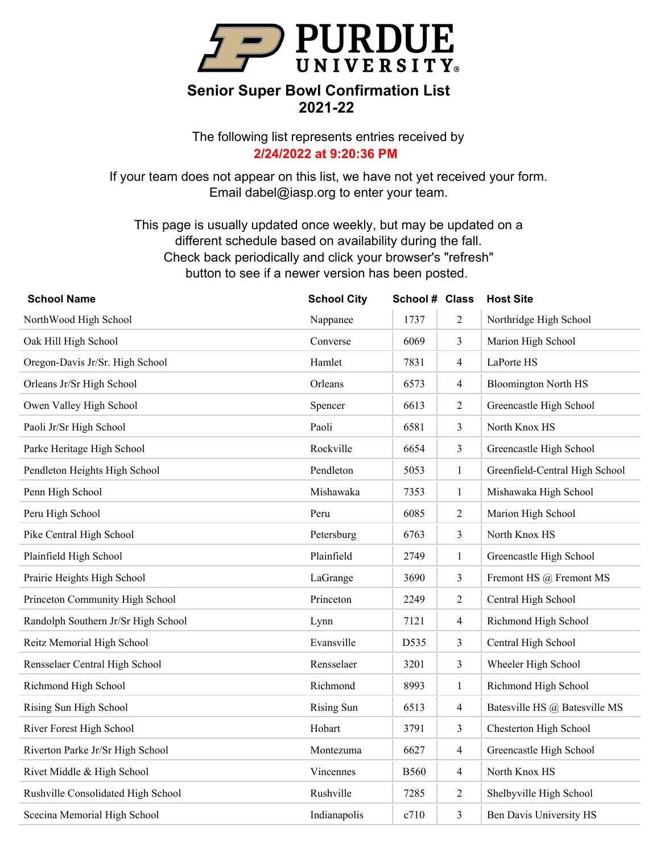

The following list represents entries received by **2/24/2022 at 9:20:36 PM**

If your team does not appear on this list, we have not yet received your form. Email dabel@iasp.org to enter your team.

| <b>School Name</b>                  | <b>School City</b> | School # Class |                | <b>Host Site</b>               |
|-------------------------------------|--------------------|----------------|----------------|--------------------------------|
| NorthWood High School               | Nappanee           | 1737           | $\overline{c}$ | Northridge High School         |
| Oak Hill High School                | Converse           | 6069           | 3              | Marion High School             |
| Oregon-Davis Jr/Sr. High School     | Hamlet             | 7831           | $\overline{4}$ | LaPorte HS                     |
| Orleans Jr/Sr High School           | Orleans            | 6573           | 4              | <b>Bloomington North HS</b>    |
| Owen Valley High School             | Spencer            | 6613           | $\overline{2}$ | Greencastle High School        |
| Paoli Jr/Sr High School             | Paoli              | 6581           | 3              | North Knox HS                  |
| Parke Heritage High School          | Rockville          | 6654           | $\mathfrak{Z}$ | Greencastle High School        |
| Pendleton Heights High School       | Pendleton          | 5053           | $\mathbf{1}$   | Greenfield-Central High School |
| Penn High School                    | Mishawaka          | 7353           | $\mathbf{1}$   | Mishawaka High School          |
| Peru High School                    | Peru               | 6085           | $\overline{2}$ | Marion High School             |
| Pike Central High School            | Petersburg         | 6763           | $\mathfrak{Z}$ | North Knox HS                  |
| Plainfield High School              | Plainfield         | 2749           | $\mathbf{1}$   | Greencastle High School        |
| Prairie Heights High School         | LaGrange           | 3690           | $\mathfrak{Z}$ | Fremont HS @ Fremont MS        |
| Princeton Community High School     | Princeton          | 2249           | $\overline{2}$ | Central High School            |
| Randolph Southern Jr/Sr High School | Lynn               | 7121           | $\overline{4}$ | Richmond High School           |
| Reitz Memorial High School          | Evansville         | D535           | $\mathfrak{Z}$ | Central High School            |
| Rensselaer Central High School      | Rensselaer         | 3201           | $\mathfrak{Z}$ | Wheeler High School            |
| Richmond High School                | Richmond           | 8993           | $\mathbf{1}$   | Richmond High School           |
| Rising Sun High School              | Rising Sun         | 6513           | $\overline{4}$ | Batesville HS @ Batesville MS  |
| River Forest High School            | Hobart             | 3791           | $\mathfrak{Z}$ | Chesterton High School         |
| Riverton Parke Jr/Sr High School    | Montezuma          | 6627           | $\overline{4}$ | Greencastle High School        |
| Rivet Middle & High School          | Vincennes          | <b>B560</b>    | $\overline{4}$ | North Knox HS                  |
| Rushville Consolidated High School  | Rushville          | 7285           | $\overline{2}$ | Shelbyville High School        |
| Scecina Memorial High School        | Indianapolis       | c710           | 3              | Ben Davis University HS        |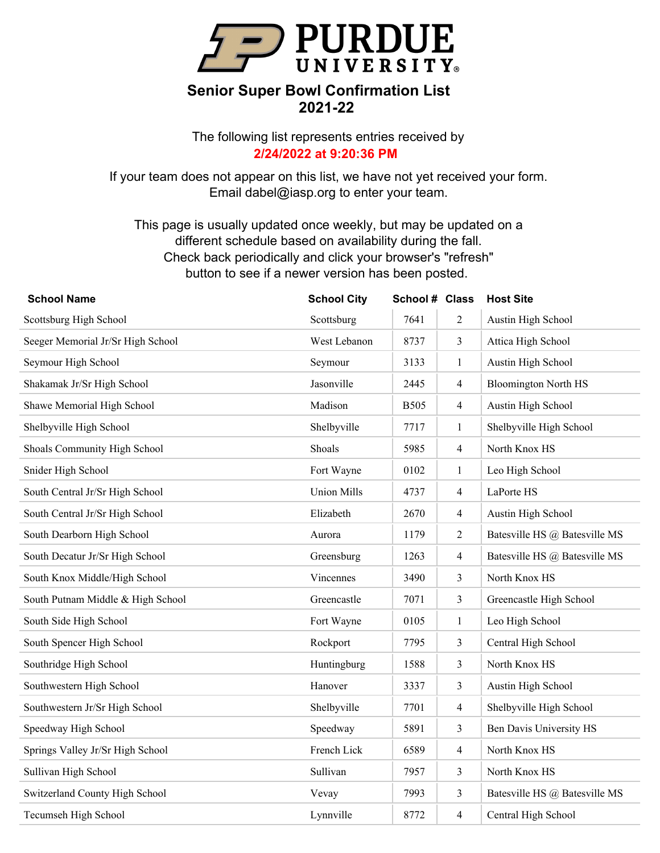

The following list represents entries received by **2/24/2022 at 9:20:36 PM**

If your team does not appear on this list, we have not yet received your form. Email dabel@iasp.org to enter your team.

| <b>School Name</b>                | <b>School City</b> | School # Class |                | <b>Host Site</b>              |
|-----------------------------------|--------------------|----------------|----------------|-------------------------------|
| Scottsburg High School            | Scottsburg         | 7641           | $\overline{2}$ | Austin High School            |
| Seeger Memorial Jr/Sr High School | West Lebanon       | 8737           | 3              | Attica High School            |
| Seymour High School               | Seymour            | 3133           | $\mathbf{1}$   | Austin High School            |
| Shakamak Jr/Sr High School        | Jasonville         | 2445           | $\overline{4}$ | <b>Bloomington North HS</b>   |
| Shawe Memorial High School        | Madison            | <b>B505</b>    | $\overline{4}$ | Austin High School            |
| Shelbyville High School           | Shelbyville        | 7717           | 1              | Shelbyville High School       |
| Shoals Community High School      | Shoals             | 5985           | $\overline{4}$ | North Knox HS                 |
| Snider High School                | Fort Wayne         | 0102           | $\mathbf{1}$   | Leo High School               |
| South Central Jr/Sr High School   | <b>Union Mills</b> | 4737           | $\overline{4}$ | LaPorte HS                    |
| South Central Jr/Sr High School   | Elizabeth          | 2670           | $\overline{4}$ | Austin High School            |
| South Dearborn High School        | Aurora             | 1179           | $\overline{2}$ | Batesville HS @ Batesville MS |
| South Decatur Jr/Sr High School   | Greensburg         | 1263           | $\overline{4}$ | Batesville HS @ Batesville MS |
| South Knox Middle/High School     | Vincennes          | 3490           | 3              | North Knox HS                 |
| South Putnam Middle & High School | Greencastle        | 7071           | 3              | Greencastle High School       |
| South Side High School            | Fort Wayne         | 0105           | $\mathbf{1}$   | Leo High School               |
| South Spencer High School         | Rockport           | 7795           | $\mathfrak{Z}$ | Central High School           |
| Southridge High School            | Huntingburg        | 1588           | $\mathfrak{Z}$ | North Knox HS                 |
| Southwestern High School          | Hanover            | 3337           | 3              | Austin High School            |
| Southwestern Jr/Sr High School    | Shelbyville        | 7701           | $\overline{4}$ | Shelbyville High School       |
| Speedway High School              | Speedway           | 5891           | 3              | Ben Davis University HS       |
| Springs Valley Jr/Sr High School  | French Lick        | 6589           | $\overline{4}$ | North Knox HS                 |
| Sullivan High School              | Sullivan           | 7957           | $\mathfrak{Z}$ | North Knox HS                 |
| Switzerland County High School    | Vevay              | 7993           | $\mathfrak{Z}$ | Batesville HS @ Batesville MS |
| Tecumseh High School              | Lynnville          | 8772           | $\overline{4}$ | Central High School           |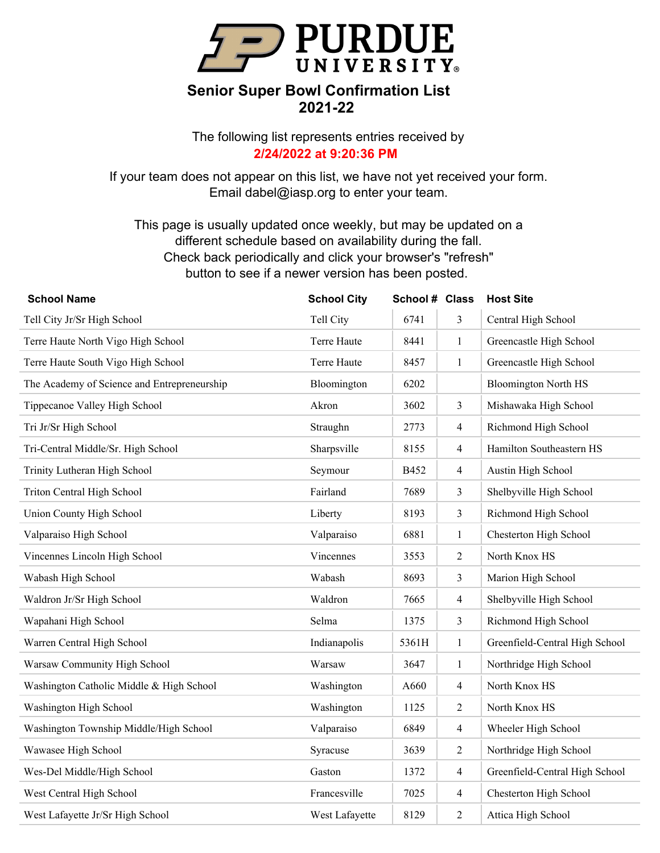

The following list represents entries received by **2/24/2022 at 9:20:36 PM**

If your team does not appear on this list, we have not yet received your form. Email dabel@iasp.org to enter your team.

| <b>School Name</b>                          | <b>School City</b> | School # Class |                | <b>Host Site</b>               |
|---------------------------------------------|--------------------|----------------|----------------|--------------------------------|
| Tell City Jr/Sr High School                 | Tell City          | 6741           | 3              | Central High School            |
| Terre Haute North Vigo High School          | Terre Haute        | 8441           | $\mathbf{1}$   | Greencastle High School        |
| Terre Haute South Vigo High School          | Terre Haute        | 8457           | $\mathbf{1}$   | Greencastle High School        |
| The Academy of Science and Entrepreneurship | Bloomington        | 6202           |                | <b>Bloomington North HS</b>    |
| Tippecanoe Valley High School               | Akron              | 3602           | 3              | Mishawaka High School          |
| Tri Jr/Sr High School                       | Straughn           | 2773           | $\overline{4}$ | Richmond High School           |
| Tri-Central Middle/Sr. High School          | Sharpsville        | 8155           | $\overline{4}$ | Hamilton Southeastern HS       |
| Trinity Lutheran High School                | Seymour            | B452           | $\overline{4}$ | Austin High School             |
| Triton Central High School                  | Fairland           | 7689           | 3              | Shelbyville High School        |
| Union County High School                    | Liberty            | 8193           | 3              | Richmond High School           |
| Valparaiso High School                      | Valparaiso         | 6881           | $\mathbf{1}$   | Chesterton High School         |
| Vincennes Lincoln High School               | Vincennes          | 3553           | $\sqrt{2}$     | North Knox HS                  |
| Wabash High School                          | Wabash             | 8693           | 3              | Marion High School             |
| Waldron Jr/Sr High School                   | Waldron            | 7665           | $\overline{4}$ | Shelbyville High School        |
| Wapahani High School                        | Selma              | 1375           | 3              | Richmond High School           |
| Warren Central High School                  | Indianapolis       | 5361H          | $\mathbf{1}$   | Greenfield-Central High School |
| Warsaw Community High School                | Warsaw             | 3647           | $\mathbf{1}$   | Northridge High School         |
| Washington Catholic Middle & High School    | Washington         | A660           | $\overline{4}$ | North Knox HS                  |
| Washington High School                      | Washington         | 1125           | $\overline{2}$ | North Knox HS                  |
| Washington Township Middle/High School      | Valparaiso         | 6849           | $\overline{4}$ | Wheeler High School            |
| Wawasee High School                         | Syracuse           | 3639           | $\overline{2}$ | Northridge High School         |
| Wes-Del Middle/High School                  | Gaston             | 1372           | $\overline{4}$ | Greenfield-Central High School |
| West Central High School                    | Francesville       | 7025           | $\overline{4}$ | Chesterton High School         |
| West Lafayette Jr/Sr High School            | West Lafayette     | 8129           | $\overline{2}$ | Attica High School             |